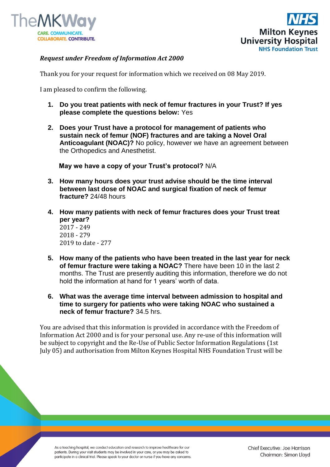



## *Request under Freedom of Information Act 2000*

Thank you for your request for information which we received on 08 May 2019.

I am pleased to confirm the following.

- **1. Do you treat patients with neck of femur fractures in your Trust? If yes please complete the questions below:** Yes
- **2. Does your Trust have a protocol for management of patients who sustain neck of femur (NOF) fractures and are taking a Novel Oral Anticoagulant (NOAC)?** No policy, however we have an agreement between the Orthopedics and Anesthetist.

**May we have a copy of your Trust's protocol?** N/A

- **3. How many hours does your trust advise should be the time interval between last dose of NOAC and surgical fixation of neck of femur fracture?** 24/48 hours
- **4. How many patients with neck of femur fractures does your Trust treat per year?** 2017 - 249 2018 - 279 2019 to date - 277
- **5. How many of the patients who have been treated in the last year for neck of femur fracture were taking a NOAC?** There have been 10 in the last 2 months. The Trust are presently auditing this information, therefore we do not hold the information at hand for 1 years' worth of data.
- **6. What was the average time interval between admission to hospital and time to surgery for patients who were taking NOAC who sustained a neck of femur fracture?** 34.5 hrs.

You are advised that this information is provided in accordance with the Freedom of Information Act 2000 and is for your personal use. Any re-use of this information will be subject to copyright and the Re-Use of Public Sector Information Regulations (1st July 05) and authorisation from Milton Keynes Hospital NHS Foundation Trust will be

As a teaching hospital, we conduct education and research to improve healthcare for our patients. During your visit students may be involved in your care, or you may be asked to participate in a clinical trial. Please speak to your doctor or nurse if you have any concerns.